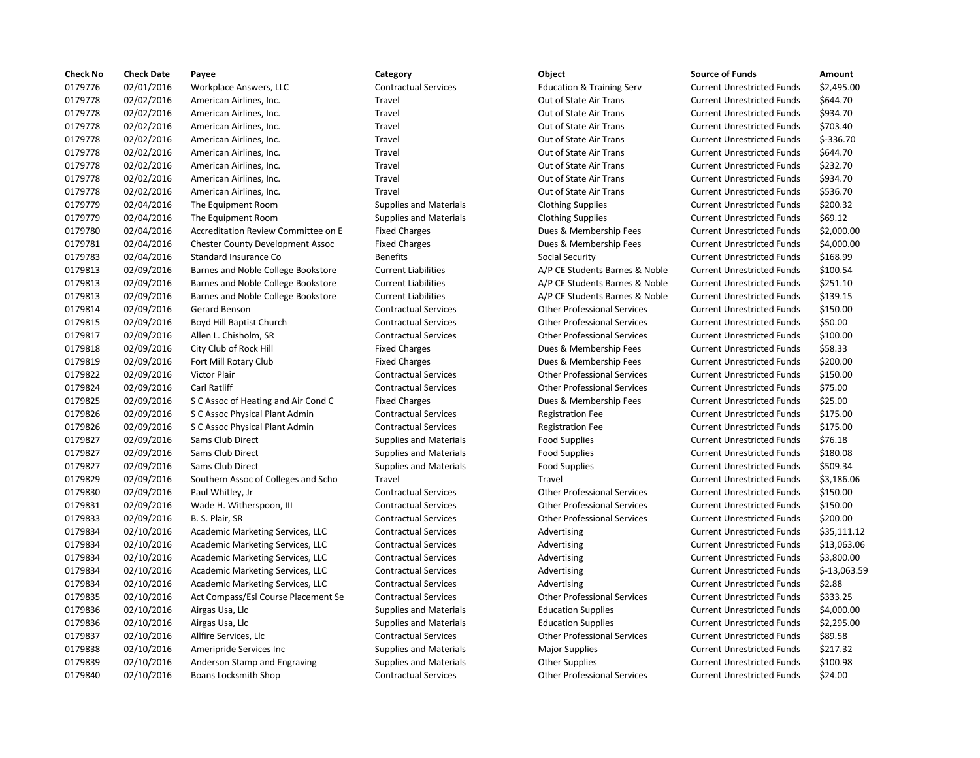| <b>Check No</b> | <b>Check Date</b> | Payee                                   | Category                      | <b>Object</b>                        | <b>Source of Funds</b>            | Amount     |
|-----------------|-------------------|-----------------------------------------|-------------------------------|--------------------------------------|-----------------------------------|------------|
| 0179776         | 02/01/2016        | Workplace Answers, LLC                  | <b>Contractual Services</b>   | <b>Education &amp; Training Serv</b> | <b>Current Unrestricted Funds</b> | \$2,495.0  |
| 0179778         | 02/02/2016        | American Airlines, Inc.                 | Travel                        | Out of State Air Trans               | <b>Current Unrestricted Funds</b> | \$644.70   |
| 0179778         | 02/02/2016        | American Airlines, Inc.                 | Travel                        | Out of State Air Trans               | <b>Current Unrestricted Funds</b> | \$934.70   |
| 0179778         | 02/02/2016        | American Airlines, Inc.                 | Travel                        | Out of State Air Trans               | <b>Current Unrestricted Funds</b> | \$703.40   |
| 0179778         | 02/02/2016        | American Airlines, Inc.                 | Travel                        | Out of State Air Trans               | <b>Current Unrestricted Funds</b> | $$-336.70$ |
| 0179778         | 02/02/2016        | American Airlines, Inc.                 | Travel                        | Out of State Air Trans               | <b>Current Unrestricted Funds</b> | \$644.70   |
| 0179778         | 02/02/2016        | American Airlines, Inc.                 | Travel                        | Out of State Air Trans               | <b>Current Unrestricted Funds</b> | \$232.70   |
| 0179778         | 02/02/2016        | American Airlines, Inc.                 | Travel                        | Out of State Air Trans               | <b>Current Unrestricted Funds</b> | \$934.70   |
| 0179778         | 02/02/2016        | American Airlines, Inc.                 | Travel                        | Out of State Air Trans               | <b>Current Unrestricted Funds</b> | \$536.70   |
| 0179779         | 02/04/2016        | The Equipment Room                      | <b>Supplies and Materials</b> | <b>Clothing Supplies</b>             | <b>Current Unrestricted Funds</b> | \$200.32   |
| 0179779         | 02/04/2016        | The Equipment Room                      | <b>Supplies and Materials</b> | <b>Clothing Supplies</b>             | <b>Current Unrestricted Funds</b> | \$69.12    |
| 0179780         | 02/04/2016        | Accreditation Review Committee on E     | <b>Fixed Charges</b>          | Dues & Membership Fees               | <b>Current Unrestricted Funds</b> | \$2,000.0  |
| 0179781         | 02/04/2016        | <b>Chester County Development Assoc</b> | <b>Fixed Charges</b>          | Dues & Membership Fees               | <b>Current Unrestricted Funds</b> | \$4,000.0  |
| 0179783         | 02/04/2016        | Standard Insurance Co                   | <b>Benefits</b>               | Social Security                      | <b>Current Unrestricted Funds</b> | \$168.99   |
| 0179813         | 02/09/2016        | Barnes and Noble College Bookstore      | <b>Current Liabilities</b>    | A/P CE Students Barnes & Noble       | <b>Current Unrestricted Funds</b> | \$100.54   |
| 0179813         | 02/09/2016        | Barnes and Noble College Bookstore      | <b>Current Liabilities</b>    | A/P CE Students Barnes & Noble       | <b>Current Unrestricted Funds</b> | \$251.10   |
| 0179813         | 02/09/2016        | Barnes and Noble College Bookstore      | <b>Current Liabilities</b>    | A/P CE Students Barnes & Noble       | <b>Current Unrestricted Funds</b> | \$139.15   |
| 0179814         | 02/09/2016        | Gerard Benson                           | <b>Contractual Services</b>   | <b>Other Professional Services</b>   | <b>Current Unrestricted Funds</b> | \$150.00   |
| 0179815         | 02/09/2016        | Boyd Hill Baptist Church                | <b>Contractual Services</b>   | <b>Other Professional Services</b>   | <b>Current Unrestricted Funds</b> | \$50.00    |
| 0179817         | 02/09/2016        | Allen L. Chisholm, SR                   | <b>Contractual Services</b>   | <b>Other Professional Services</b>   | <b>Current Unrestricted Funds</b> | \$100.00   |
| 0179818         | 02/09/2016        | City Club of Rock Hill                  | <b>Fixed Charges</b>          | Dues & Membership Fees               | <b>Current Unrestricted Funds</b> | \$58.33    |
| 0179819         | 02/09/2016        | Fort Mill Rotary Club                   | <b>Fixed Charges</b>          | Dues & Membership Fees               | <b>Current Unrestricted Funds</b> | \$200.00   |
| 0179822         | 02/09/2016        | Victor Plair                            | <b>Contractual Services</b>   | <b>Other Professional Services</b>   | <b>Current Unrestricted Funds</b> | \$150.00   |
| 0179824         | 02/09/2016        | Carl Ratliff                            | <b>Contractual Services</b>   | <b>Other Professional Services</b>   | <b>Current Unrestricted Funds</b> | \$75.00    |
| 0179825         | 02/09/2016        | S C Assoc of Heating and Air Cond C     | <b>Fixed Charges</b>          | Dues & Membership Fees               | <b>Current Unrestricted Funds</b> | \$25.00    |
| 0179826         | 02/09/2016        | S C Assoc Physical Plant Admin          | <b>Contractual Services</b>   | <b>Registration Fee</b>              | <b>Current Unrestricted Funds</b> | \$175.00   |
| 0179826         | 02/09/2016        | S C Assoc Physical Plant Admin          | <b>Contractual Services</b>   | <b>Registration Fee</b>              | <b>Current Unrestricted Funds</b> | \$175.00   |
| 0179827         | 02/09/2016        | Sams Club Direct                        | <b>Supplies and Materials</b> | <b>Food Supplies</b>                 | <b>Current Unrestricted Funds</b> | \$76.18    |
| 0179827         | 02/09/2016        | Sams Club Direct                        | <b>Supplies and Materials</b> | <b>Food Supplies</b>                 | <b>Current Unrestricted Funds</b> | \$180.08   |
| 0179827         | 02/09/2016        | Sams Club Direct                        | <b>Supplies and Materials</b> | <b>Food Supplies</b>                 | <b>Current Unrestricted Funds</b> | \$509.34   |
| 0179829         | 02/09/2016        | Southern Assoc of Colleges and Scho     | Travel                        | Travel                               | <b>Current Unrestricted Funds</b> | \$3,186.0  |
| 0179830         | 02/09/2016        | Paul Whitley, Jr                        | <b>Contractual Services</b>   | <b>Other Professional Services</b>   | <b>Current Unrestricted Funds</b> | \$150.00   |
| 0179831         | 02/09/2016        | Wade H. Witherspoon, III                | <b>Contractual Services</b>   | <b>Other Professional Services</b>   | <b>Current Unrestricted Funds</b> | \$150.00   |
| 0179833         | 02/09/2016        | B. S. Plair, SR                         | <b>Contractual Services</b>   | <b>Other Professional Services</b>   | <b>Current Unrestricted Funds</b> | \$200.00   |
| 0179834         | 02/10/2016        | Academic Marketing Services, LLC        | <b>Contractual Services</b>   | Advertising                          | <b>Current Unrestricted Funds</b> | \$35,111   |
| 0179834         | 02/10/2016        | Academic Marketing Services, LLC        | <b>Contractual Services</b>   | Advertising                          | <b>Current Unrestricted Funds</b> | \$13,063   |
| 0179834         | 02/10/2016        | Academic Marketing Services, LLC        | <b>Contractual Services</b>   | Advertising                          | <b>Current Unrestricted Funds</b> | \$3,800.0  |
| 0179834         | 02/10/2016        | Academic Marketing Services, LLC        | <b>Contractual Services</b>   | Advertising                          | <b>Current Unrestricted Funds</b> | $$-13,06$  |
| 0179834         | 02/10/2016        | Academic Marketing Services, LLC        | <b>Contractual Services</b>   | Advertising                          | <b>Current Unrestricted Funds</b> | \$2.88     |
| 0179835         | 02/10/2016        | Act Compass/Esl Course Placement Se     | <b>Contractual Services</b>   | <b>Other Professional Services</b>   | <b>Current Unrestricted Funds</b> | \$333.25   |
| 0179836         | 02/10/2016        | Airgas Usa, Llc                         | <b>Supplies and Materials</b> | <b>Education Supplies</b>            | <b>Current Unrestricted Funds</b> | \$4,000.0  |
| 0179836         | 02/10/2016        | Airgas Usa, Llc                         | <b>Supplies and Materials</b> | <b>Education Supplies</b>            | <b>Current Unrestricted Funds</b> | \$2,295.0  |
| 0179837         | 02/10/2016        | Allfire Services, Llc                   | <b>Contractual Services</b>   | <b>Other Professional Services</b>   | <b>Current Unrestricted Funds</b> | \$89.58    |
| 0179838         | 02/10/2016        | Ameripride Services Inc                 | <b>Supplies and Materials</b> | <b>Major Supplies</b>                | <b>Current Unrestricted Funds</b> | \$217.32   |
| 0179839         | 02/10/2016        | Anderson Stamp and Engraving            | <b>Supplies and Materials</b> | <b>Other Supplies</b>                | <b>Current Unrestricted Funds</b> | \$100.98   |
| 0179840         | 02/10/2016        | Boans Locksmith Shop                    | <b>Contractual Services</b>   | <b>Other Professional Services</b>   | <b>Current Unrestricted Funds</b> | \$24.00    |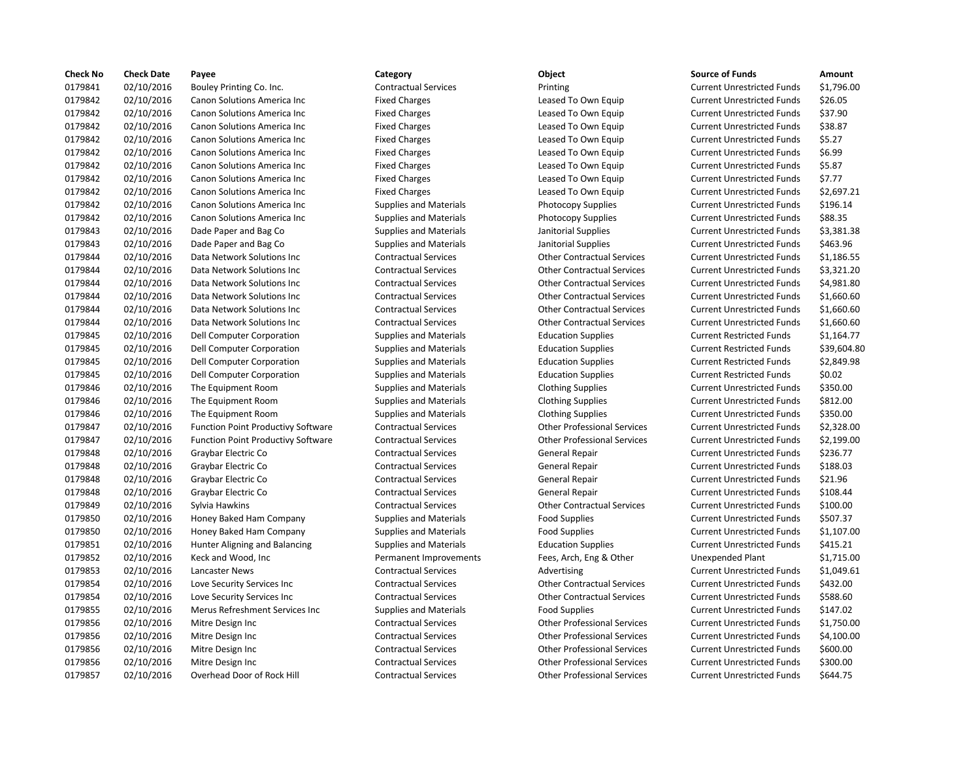| <b>Check No</b> | <b>Check Date</b> | Payee                                     | Category                      | Object                             | <b>Source of Funds</b>            | Amount     |
|-----------------|-------------------|-------------------------------------------|-------------------------------|------------------------------------|-----------------------------------|------------|
| 0179841         | 02/10/2016        | Bouley Printing Co. Inc.                  | <b>Contractual Services</b>   | Printing                           | <b>Current Unrestricted Funds</b> | \$1,796.00 |
| 0179842         | 02/10/2016        | Canon Solutions America Inc               | <b>Fixed Charges</b>          | Leased To Own Equip                | <b>Current Unrestricted Funds</b> | \$26.05    |
| 0179842         | 02/10/2016        | Canon Solutions America Inc               | <b>Fixed Charges</b>          | Leased To Own Equip                | <b>Current Unrestricted Funds</b> | \$37.90    |
| 0179842         | 02/10/2016        | Canon Solutions America Inc               | <b>Fixed Charges</b>          | Leased To Own Equip                | <b>Current Unrestricted Funds</b> | \$38.87    |
| 0179842         | 02/10/2016        | Canon Solutions America Inc               | <b>Fixed Charges</b>          | Leased To Own Equip                | <b>Current Unrestricted Funds</b> | \$5.27     |
| 0179842         | 02/10/2016        | Canon Solutions America Inc               | <b>Fixed Charges</b>          | Leased To Own Equip                | <b>Current Unrestricted Funds</b> | \$6.99     |
| 0179842         | 02/10/2016        | Canon Solutions America Inc               | <b>Fixed Charges</b>          | Leased To Own Equip                | <b>Current Unrestricted Funds</b> | \$5.87     |
| 0179842         | 02/10/2016        | Canon Solutions America Inc               | <b>Fixed Charges</b>          | Leased To Own Equip                | <b>Current Unrestricted Funds</b> | \$7.77     |
| 0179842         | 02/10/2016        | Canon Solutions America Inc               | <b>Fixed Charges</b>          | Leased To Own Equip                | <b>Current Unrestricted Funds</b> | \$2,697.21 |
| 0179842         | 02/10/2016        | Canon Solutions America Inc               | <b>Supplies and Materials</b> | <b>Photocopy Supplies</b>          | <b>Current Unrestricted Funds</b> | \$196.14   |
| 0179842         | 02/10/2016        | Canon Solutions America Inc               | <b>Supplies and Materials</b> | <b>Photocopy Supplies</b>          | <b>Current Unrestricted Funds</b> | \$88.35    |
| 0179843         | 02/10/2016        | Dade Paper and Bag Co                     | <b>Supplies and Materials</b> | Janitorial Supplies                | <b>Current Unrestricted Funds</b> | \$3,381.38 |
| 0179843         | 02/10/2016        | Dade Paper and Bag Co                     | <b>Supplies and Materials</b> | Janitorial Supplies                | <b>Current Unrestricted Funds</b> | \$463.96   |
| 0179844         | 02/10/2016        | Data Network Solutions Inc                | <b>Contractual Services</b>   | <b>Other Contractual Services</b>  | <b>Current Unrestricted Funds</b> | \$1,186.55 |
| 0179844         | 02/10/2016        | Data Network Solutions Inc                | <b>Contractual Services</b>   | <b>Other Contractual Services</b>  | <b>Current Unrestricted Funds</b> | \$3,321.20 |
| 0179844         | 02/10/2016        | Data Network Solutions Inc                | <b>Contractual Services</b>   | <b>Other Contractual Services</b>  | <b>Current Unrestricted Funds</b> | \$4,981.80 |
| 0179844         | 02/10/2016        | Data Network Solutions Inc                | <b>Contractual Services</b>   | <b>Other Contractual Services</b>  | <b>Current Unrestricted Funds</b> | \$1,660.60 |
| 0179844         | 02/10/2016        | Data Network Solutions Inc                | <b>Contractual Services</b>   | <b>Other Contractual Services</b>  | <b>Current Unrestricted Funds</b> | \$1,660.60 |
| 0179844         | 02/10/2016        | Data Network Solutions Inc                | <b>Contractual Services</b>   | <b>Other Contractual Services</b>  | <b>Current Unrestricted Funds</b> | \$1,660.60 |
| 0179845         | 02/10/2016        | Dell Computer Corporation                 | <b>Supplies and Materials</b> | <b>Education Supplies</b>          | <b>Current Restricted Funds</b>   | \$1,164.77 |
| 0179845         | 02/10/2016        | Dell Computer Corporation                 | <b>Supplies and Materials</b> | <b>Education Supplies</b>          | <b>Current Restricted Funds</b>   | \$39,604.8 |
| 0179845         | 02/10/2016        | Dell Computer Corporation                 | <b>Supplies and Materials</b> | <b>Education Supplies</b>          | <b>Current Restricted Funds</b>   | \$2,849.98 |
| 0179845         | 02/10/2016        | Dell Computer Corporation                 | <b>Supplies and Materials</b> | <b>Education Supplies</b>          | <b>Current Restricted Funds</b>   | \$0.02     |
| 0179846         | 02/10/2016        | The Equipment Room                        | <b>Supplies and Materials</b> | <b>Clothing Supplies</b>           | <b>Current Unrestricted Funds</b> | \$350.00   |
| 0179846         | 02/10/2016        | The Equipment Room                        | <b>Supplies and Materials</b> | <b>Clothing Supplies</b>           | <b>Current Unrestricted Funds</b> | \$812.00   |
| 0179846         | 02/10/2016        | The Equipment Room                        | <b>Supplies and Materials</b> | <b>Clothing Supplies</b>           | <b>Current Unrestricted Funds</b> | \$350.00   |
| 0179847         | 02/10/2016        | Function Point Productivy Software        | <b>Contractual Services</b>   | <b>Other Professional Services</b> | <b>Current Unrestricted Funds</b> | \$2,328.00 |
| 0179847         | 02/10/2016        | <b>Function Point Productivy Software</b> | <b>Contractual Services</b>   | <b>Other Professional Services</b> | <b>Current Unrestricted Funds</b> | \$2,199.00 |
| 0179848         | 02/10/2016        | Graybar Electric Co                       | <b>Contractual Services</b>   | General Repair                     | <b>Current Unrestricted Funds</b> | \$236.77   |
| 0179848         | 02/10/2016        | Graybar Electric Co                       | <b>Contractual Services</b>   | General Repair                     | <b>Current Unrestricted Funds</b> | \$188.03   |
| 0179848         | 02/10/2016        | Graybar Electric Co                       | <b>Contractual Services</b>   | General Repair                     | <b>Current Unrestricted Funds</b> | \$21.96    |
| 0179848         | 02/10/2016        | Graybar Electric Co                       | <b>Contractual Services</b>   | General Repair                     | <b>Current Unrestricted Funds</b> | \$108.44   |
| 0179849         | 02/10/2016        | Sylvia Hawkins                            | <b>Contractual Services</b>   | <b>Other Contractual Services</b>  | <b>Current Unrestricted Funds</b> | \$100.00   |
| 0179850         | 02/10/2016        | Honey Baked Ham Company                   | <b>Supplies and Materials</b> | <b>Food Supplies</b>               | <b>Current Unrestricted Funds</b> | \$507.37   |
| 0179850         | 02/10/2016        | Honey Baked Ham Company                   | <b>Supplies and Materials</b> | <b>Food Supplies</b>               | <b>Current Unrestricted Funds</b> | \$1,107.00 |
| 0179851         | 02/10/2016        | Hunter Aligning and Balancing             | <b>Supplies and Materials</b> | <b>Education Supplies</b>          | <b>Current Unrestricted Funds</b> | \$415.21   |
| 0179852         | 02/10/2016        | Keck and Wood, Inc                        | Permanent Improvements        | Fees, Arch, Eng & Other            | Unexpended Plant                  | \$1,715.00 |
| 0179853         | 02/10/2016        | Lancaster News                            | <b>Contractual Services</b>   | Advertising                        | <b>Current Unrestricted Funds</b> | \$1,049.61 |
| 0179854         | 02/10/2016        | Love Security Services Inc                | <b>Contractual Services</b>   | <b>Other Contractual Services</b>  | <b>Current Unrestricted Funds</b> | \$432.00   |
| 0179854         | 02/10/2016        | Love Security Services Inc                | <b>Contractual Services</b>   | <b>Other Contractual Services</b>  | <b>Current Unrestricted Funds</b> | \$588.60   |
| 0179855         | 02/10/2016        | Merus Refreshment Services Inc            | <b>Supplies and Materials</b> | <b>Food Supplies</b>               | <b>Current Unrestricted Funds</b> | \$147.02   |
| 0179856         | 02/10/2016        | Mitre Design Inc                          | <b>Contractual Services</b>   | <b>Other Professional Services</b> | <b>Current Unrestricted Funds</b> | \$1,750.00 |
| 0179856         | 02/10/2016        | Mitre Design Inc                          | <b>Contractual Services</b>   | <b>Other Professional Services</b> | <b>Current Unrestricted Funds</b> | \$4,100.00 |
| 0179856         | 02/10/2016        | Mitre Design Inc                          | <b>Contractual Services</b>   | <b>Other Professional Services</b> | <b>Current Unrestricted Funds</b> | \$600.00   |
| 0179856         | 02/10/2016        | Mitre Design Inc                          | <b>Contractual Services</b>   | <b>Other Professional Services</b> | <b>Current Unrestricted Funds</b> | \$300.00   |
| 0179857         | 02/10/2016        | Overhead Door of Rock Hill                | <b>Contractual Services</b>   | <b>Other Professional Services</b> | <b>Current Unrestricted Funds</b> | \$644.75   |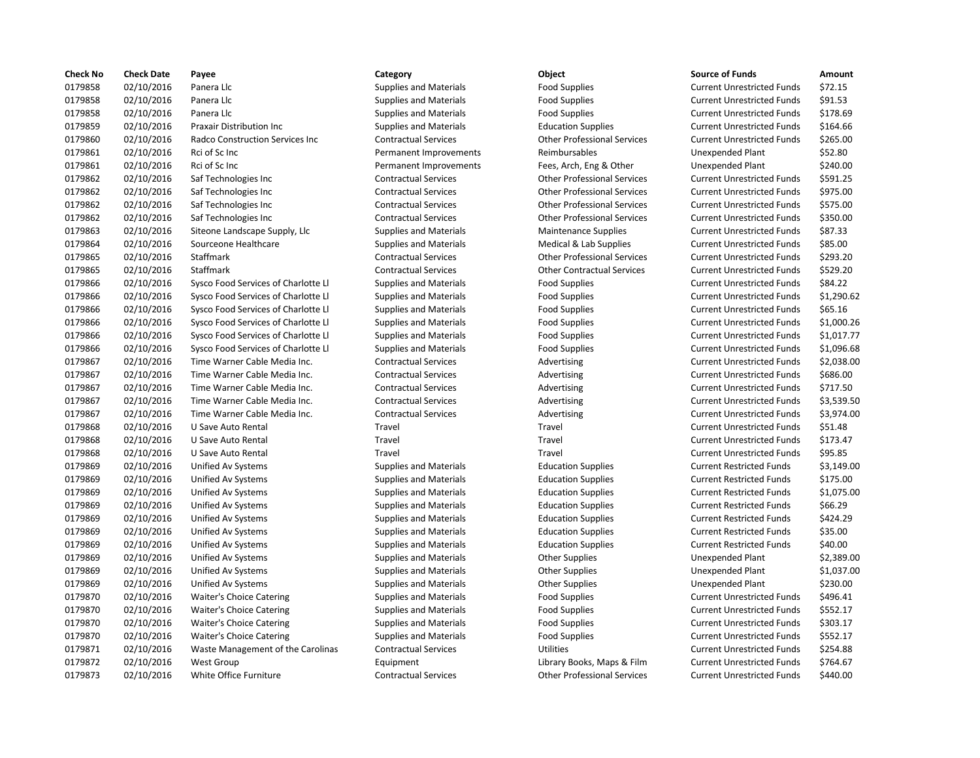| <b>Check No</b> | <b>Check Date</b> | Payee                                   | Category                      | Object                             | <b>Source of Funds</b>            | Amount     |
|-----------------|-------------------|-----------------------------------------|-------------------------------|------------------------------------|-----------------------------------|------------|
| 0179858         | 02/10/2016        | Panera Llc                              | <b>Supplies and Materials</b> | <b>Food Supplies</b>               | <b>Current Unrestricted Funds</b> | \$72.15    |
| 0179858         | 02/10/2016        | Panera Llc                              | <b>Supplies and Materials</b> | <b>Food Supplies</b>               | <b>Current Unrestricted Funds</b> | \$91.53    |
| 0179858         | 02/10/2016        | Panera Llc                              | <b>Supplies and Materials</b> | <b>Food Supplies</b>               | <b>Current Unrestricted Funds</b> | \$178.69   |
| 0179859         | 02/10/2016        | <b>Praxair Distribution Inc</b>         | <b>Supplies and Materials</b> | <b>Education Supplies</b>          | <b>Current Unrestricted Funds</b> | \$164.66   |
| 0179860         | 02/10/2016        | <b>Radco Construction Services Inc.</b> | <b>Contractual Services</b>   | <b>Other Professional Services</b> | <b>Current Unrestricted Funds</b> | \$265.00   |
| 0179861         | 02/10/2016        | Rci of Sc Inc                           | Permanent Improvements        | Reimbursables                      | <b>Unexpended Plant</b>           | \$52.80    |
| 0179861         | 02/10/2016        | Rci of Sc Inc                           | Permanent Improvements        | Fees, Arch, Eng & Other            | <b>Unexpended Plant</b>           | \$240.00   |
| 0179862         | 02/10/2016        | Saf Technologies Inc                    | <b>Contractual Services</b>   | <b>Other Professional Services</b> | <b>Current Unrestricted Funds</b> | \$591.25   |
| 0179862         | 02/10/2016        | Saf Technologies Inc                    | <b>Contractual Services</b>   | <b>Other Professional Services</b> | <b>Current Unrestricted Funds</b> | \$975.00   |
| 0179862         | 02/10/2016        | Saf Technologies Inc                    | <b>Contractual Services</b>   | <b>Other Professional Services</b> | <b>Current Unrestricted Funds</b> | \$575.00   |
| 0179862         | 02/10/2016        | Saf Technologies Inc                    | <b>Contractual Services</b>   | <b>Other Professional Services</b> | <b>Current Unrestricted Funds</b> | \$350.00   |
| 0179863         | 02/10/2016        | Siteone Landscape Supply, Llc           | <b>Supplies and Materials</b> | <b>Maintenance Supplies</b>        | <b>Current Unrestricted Funds</b> | \$87.33    |
| 0179864         | 02/10/2016        | Sourceone Healthcare                    | <b>Supplies and Materials</b> | Medical & Lab Supplies             | <b>Current Unrestricted Funds</b> | \$85.00    |
| 0179865         | 02/10/2016        | Staffmark                               | <b>Contractual Services</b>   | <b>Other Professional Services</b> | <b>Current Unrestricted Funds</b> | \$293.20   |
| 0179865         | 02/10/2016        | Staffmark                               | <b>Contractual Services</b>   | <b>Other Contractual Services</b>  | <b>Current Unrestricted Funds</b> | \$529.20   |
| 0179866         | 02/10/2016        | Sysco Food Services of Charlotte Ll     | <b>Supplies and Materials</b> | <b>Food Supplies</b>               | <b>Current Unrestricted Funds</b> | \$84.22    |
| 0179866         | 02/10/2016        | Sysco Food Services of Charlotte Ll     | <b>Supplies and Materials</b> | <b>Food Supplies</b>               | <b>Current Unrestricted Funds</b> | \$1,290.62 |
| 0179866         | 02/10/2016        | Sysco Food Services of Charlotte Ll     | <b>Supplies and Materials</b> | <b>Food Supplies</b>               | <b>Current Unrestricted Funds</b> | \$65.16    |
| 0179866         | 02/10/2016        | Sysco Food Services of Charlotte Ll     | <b>Supplies and Materials</b> | <b>Food Supplies</b>               | <b>Current Unrestricted Funds</b> | \$1,000.26 |
| 0179866         | 02/10/2016        | Sysco Food Services of Charlotte Ll     | <b>Supplies and Materials</b> | <b>Food Supplies</b>               | <b>Current Unrestricted Funds</b> | \$1,017.77 |
| 0179866         | 02/10/2016        | Sysco Food Services of Charlotte Ll     | <b>Supplies and Materials</b> | <b>Food Supplies</b>               | <b>Current Unrestricted Funds</b> | \$1,096.68 |
| 0179867         | 02/10/2016        | Time Warner Cable Media Inc.            | <b>Contractual Services</b>   | Advertising                        | <b>Current Unrestricted Funds</b> | \$2,038.00 |
| 0179867         | 02/10/2016        | Time Warner Cable Media Inc.            | <b>Contractual Services</b>   | Advertising                        | <b>Current Unrestricted Funds</b> | \$686.00   |
| 0179867         | 02/10/2016        | Time Warner Cable Media Inc.            | <b>Contractual Services</b>   | Advertising                        | <b>Current Unrestricted Funds</b> | \$717.50   |
| 0179867         | 02/10/2016        | Time Warner Cable Media Inc.            | <b>Contractual Services</b>   | Advertising                        | <b>Current Unrestricted Funds</b> | \$3,539.50 |
| 0179867         | 02/10/2016        | Time Warner Cable Media Inc.            | <b>Contractual Services</b>   | Advertising                        | <b>Current Unrestricted Funds</b> | \$3,974.00 |
| 0179868         | 02/10/2016        | U Save Auto Rental                      | Travel                        | Travel                             | <b>Current Unrestricted Funds</b> | \$51.48    |
| 0179868         | 02/10/2016        | U Save Auto Rental                      | Travel                        | Travel                             | <b>Current Unrestricted Funds</b> | \$173.47   |
| 0179868         | 02/10/2016        | U Save Auto Rental                      | Travel                        | Travel                             | <b>Current Unrestricted Funds</b> | \$95.85    |
| 0179869         | 02/10/2016        | Unified Av Systems                      | <b>Supplies and Materials</b> | <b>Education Supplies</b>          | <b>Current Restricted Funds</b>   | \$3,149.00 |
| 0179869         | 02/10/2016        | Unified Av Systems                      | <b>Supplies and Materials</b> | <b>Education Supplies</b>          | <b>Current Restricted Funds</b>   | \$175.00   |
| 0179869         | 02/10/2016        | Unified Av Systems                      | <b>Supplies and Materials</b> | <b>Education Supplies</b>          | <b>Current Restricted Funds</b>   | \$1,075.00 |
| 0179869         | 02/10/2016        | Unified Av Systems                      | <b>Supplies and Materials</b> | <b>Education Supplies</b>          | <b>Current Restricted Funds</b>   | \$66.29    |
| 0179869         | 02/10/2016        | Unified Av Systems                      | <b>Supplies and Materials</b> | <b>Education Supplies</b>          | <b>Current Restricted Funds</b>   | \$424.29   |
| 0179869         | 02/10/2016        | Unified Av Systems                      | <b>Supplies and Materials</b> | <b>Education Supplies</b>          | <b>Current Restricted Funds</b>   | \$35.00    |
| 0179869         | 02/10/2016        | Unified Av Systems                      | <b>Supplies and Materials</b> | <b>Education Supplies</b>          | <b>Current Restricted Funds</b>   | \$40.00    |
| 0179869         | 02/10/2016        | Unified Av Systems                      | <b>Supplies and Materials</b> | <b>Other Supplies</b>              | <b>Unexpended Plant</b>           | \$2,389.00 |
| 0179869         | 02/10/2016        | Unified Av Systems                      | <b>Supplies and Materials</b> | <b>Other Supplies</b>              | <b>Unexpended Plant</b>           | \$1,037.00 |
| 0179869         | 02/10/2016        | Unified Av Systems                      | <b>Supplies and Materials</b> | <b>Other Supplies</b>              | Unexpended Plant                  | \$230.00   |
| 0179870         | 02/10/2016        | Waiter's Choice Catering                | <b>Supplies and Materials</b> | <b>Food Supplies</b>               | <b>Current Unrestricted Funds</b> | \$496.41   |
| 0179870         | 02/10/2016        | <b>Waiter's Choice Catering</b>         | <b>Supplies and Materials</b> | <b>Food Supplies</b>               | <b>Current Unrestricted Funds</b> | \$552.17   |
| 0179870         | 02/10/2016        | <b>Waiter's Choice Catering</b>         | <b>Supplies and Materials</b> | <b>Food Supplies</b>               | <b>Current Unrestricted Funds</b> | \$303.17   |
| 0179870         | 02/10/2016        | <b>Waiter's Choice Catering</b>         | <b>Supplies and Materials</b> | <b>Food Supplies</b>               | <b>Current Unrestricted Funds</b> | \$552.17   |
| 0179871         | 02/10/2016        | Waste Management of the Carolinas       | <b>Contractual Services</b>   | <b>Utilities</b>                   | <b>Current Unrestricted Funds</b> | \$254.88   |
| 0179872         | 02/10/2016        | <b>West Group</b>                       | Equipment                     | Library Books, Maps & Film         | <b>Current Unrestricted Funds</b> | \$764.67   |
| 0179873         | 02/10/2016        | White Office Furniture                  | <b>Contractual Services</b>   | <b>Other Professional Services</b> | <b>Current Unrestricted Funds</b> | \$440.00   |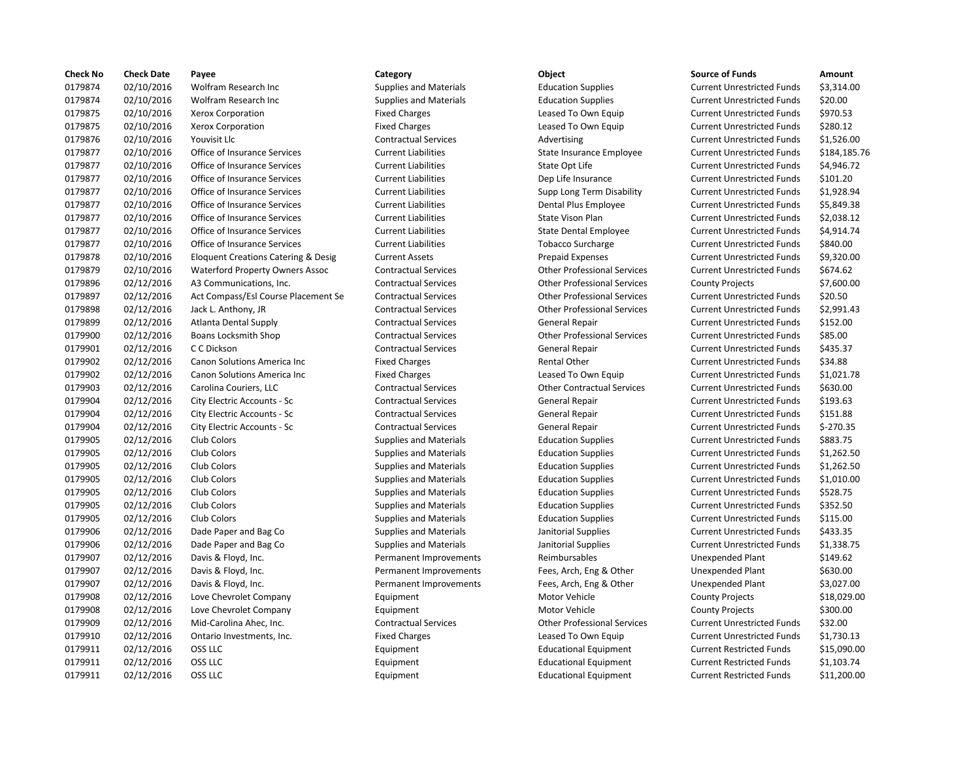| <b>Check No</b> | <b>Check Date</b> | Payee                                          | Category                      | Object                             | <b>Source of Funds</b>            | Amount      |
|-----------------|-------------------|------------------------------------------------|-------------------------------|------------------------------------|-----------------------------------|-------------|
| 0179874         | 02/10/2016        | Wolfram Research Inc                           | <b>Supplies and Materials</b> | <b>Education Supplies</b>          | <b>Current Unrestricted Funds</b> | \$3,314.00  |
| 0179874         | 02/10/2016        | Wolfram Research Inc                           | <b>Supplies and Materials</b> | <b>Education Supplies</b>          | <b>Current Unrestricted Funds</b> | \$20.00     |
| 0179875         | 02/10/2016        | <b>Xerox Corporation</b>                       | <b>Fixed Charges</b>          | Leased To Own Equip                | <b>Current Unrestricted Funds</b> | \$970.53    |
| 0179875         | 02/10/2016        | Xerox Corporation                              | <b>Fixed Charges</b>          | Leased To Own Equip                | <b>Current Unrestricted Funds</b> | \$280.12    |
| 0179876         | 02/10/2016        | Youvisit Llc                                   | <b>Contractual Services</b>   | Advertising                        | <b>Current Unrestricted Funds</b> | \$1,526.00  |
| 0179877         | 02/10/2016        | Office of Insurance Services                   | <b>Current Liabilities</b>    | State Insurance Employee           | <b>Current Unrestricted Funds</b> | \$184,185.7 |
| 0179877         | 02/10/2016        | Office of Insurance Services                   | <b>Current Liabilities</b>    | State Opt Life                     | <b>Current Unrestricted Funds</b> | \$4,946.72  |
| 0179877         | 02/10/2016        | Office of Insurance Services                   | <b>Current Liabilities</b>    | Dep Life Insurance                 | <b>Current Unrestricted Funds</b> | \$101.20    |
| 0179877         | 02/10/2016        | Office of Insurance Services                   | <b>Current Liabilities</b>    | Supp Long Term Disability          | <b>Current Unrestricted Funds</b> | \$1,928.94  |
| 0179877         | 02/10/2016        | Office of Insurance Services                   | <b>Current Liabilities</b>    | Dental Plus Employee               | <b>Current Unrestricted Funds</b> | \$5,849.38  |
| 0179877         | 02/10/2016        | Office of Insurance Services                   | <b>Current Liabilities</b>    | State Vison Plan                   | <b>Current Unrestricted Funds</b> | \$2,038.12  |
| 0179877         | 02/10/2016        | Office of Insurance Services                   | <b>Current Liabilities</b>    | <b>State Dental Employee</b>       | <b>Current Unrestricted Funds</b> | \$4,914.74  |
| 0179877         | 02/10/2016        | Office of Insurance Services                   | <b>Current Liabilities</b>    | <b>Tobacco Surcharge</b>           | <b>Current Unrestricted Funds</b> | \$840.00    |
| 0179878         | 02/10/2016        | <b>Eloquent Creations Catering &amp; Desig</b> | <b>Current Assets</b>         | <b>Prepaid Expenses</b>            | <b>Current Unrestricted Funds</b> | \$9,320.00  |
| 0179879         | 02/10/2016        | <b>Waterford Property Owners Assoc</b>         | <b>Contractual Services</b>   | <b>Other Professional Services</b> | <b>Current Unrestricted Funds</b> | \$674.62    |
| 0179896         | 02/12/2016        | A3 Communications, Inc.                        | <b>Contractual Services</b>   | <b>Other Professional Services</b> | <b>County Projects</b>            | \$7,600.00  |
| 0179897         | 02/12/2016        | Act Compass/Esl Course Placement Se            | <b>Contractual Services</b>   | <b>Other Professional Services</b> | <b>Current Unrestricted Funds</b> | \$20.50     |
| 0179898         | 02/12/2016        | Jack L. Anthony, JR                            | <b>Contractual Services</b>   | <b>Other Professional Services</b> | <b>Current Unrestricted Funds</b> | \$2,991.43  |
| 0179899         | 02/12/2016        | <b>Atlanta Dental Supply</b>                   | <b>Contractual Services</b>   | General Repair                     | <b>Current Unrestricted Funds</b> | \$152.00    |
| 0179900         | 02/12/2016        | Boans Locksmith Shop                           | <b>Contractual Services</b>   | <b>Other Professional Services</b> | <b>Current Unrestricted Funds</b> | \$85.00     |
| 0179901         | 02/12/2016        | C C Dickson                                    | <b>Contractual Services</b>   | General Repair                     | <b>Current Unrestricted Funds</b> | \$435.37    |
| 0179902         | 02/12/2016        | Canon Solutions America Inc                    | <b>Fixed Charges</b>          | Rental Other                       | <b>Current Unrestricted Funds</b> | \$34.88     |
| 0179902         | 02/12/2016        | Canon Solutions America Inc                    | <b>Fixed Charges</b>          | Leased To Own Equip                | <b>Current Unrestricted Funds</b> | \$1,021.78  |
| 0179903         | 02/12/2016        | Carolina Couriers, LLC                         | <b>Contractual Services</b>   | <b>Other Contractual Services</b>  | <b>Current Unrestricted Funds</b> | \$630.00    |
| 0179904         | 02/12/2016        | City Electric Accounts - Sc                    | <b>Contractual Services</b>   | <b>General Repair</b>              | <b>Current Unrestricted Funds</b> | \$193.63    |
| 0179904         | 02/12/2016        | City Electric Accounts - Sc                    | <b>Contractual Services</b>   | <b>General Repair</b>              | <b>Current Unrestricted Funds</b> | \$151.88    |
| 0179904         | 02/12/2016        | City Electric Accounts - Sc                    | <b>Contractual Services</b>   | General Repair                     | <b>Current Unrestricted Funds</b> | $$-270.35$  |
| 0179905         | 02/12/2016        | Club Colors                                    | <b>Supplies and Materials</b> | <b>Education Supplies</b>          | <b>Current Unrestricted Funds</b> | \$883.75    |
| 0179905         | 02/12/2016        | Club Colors                                    | <b>Supplies and Materials</b> | <b>Education Supplies</b>          | <b>Current Unrestricted Funds</b> | \$1,262.50  |
| 0179905         | 02/12/2016        | Club Colors                                    | <b>Supplies and Materials</b> | <b>Education Supplies</b>          | <b>Current Unrestricted Funds</b> | \$1,262.50  |
| 0179905         | 02/12/2016        | Club Colors                                    | <b>Supplies and Materials</b> | <b>Education Supplies</b>          | <b>Current Unrestricted Funds</b> | \$1,010.00  |
| 0179905         | 02/12/2016        | Club Colors                                    | <b>Supplies and Materials</b> | <b>Education Supplies</b>          | <b>Current Unrestricted Funds</b> | \$528.75    |
| 0179905         | 02/12/2016        | Club Colors                                    | <b>Supplies and Materials</b> | <b>Education Supplies</b>          | <b>Current Unrestricted Funds</b> | \$352.50    |
| 0179905         | 02/12/2016        | Club Colors                                    | <b>Supplies and Materials</b> | <b>Education Supplies</b>          | <b>Current Unrestricted Funds</b> | \$115.00    |
| 0179906         | 02/12/2016        | Dade Paper and Bag Co                          | <b>Supplies and Materials</b> | Janitorial Supplies                | <b>Current Unrestricted Funds</b> | \$433.35    |
| 0179906         | 02/12/2016        | Dade Paper and Bag Co                          | <b>Supplies and Materials</b> | Janitorial Supplies                | <b>Current Unrestricted Funds</b> | \$1,338.75  |
| 0179907         | 02/12/2016        | Davis & Floyd, Inc.                            | Permanent Improvements        | Reimbursables                      | Unexpended Plant                  | \$149.62    |
| 0179907         | 02/12/2016        | Davis & Floyd, Inc.                            | Permanent Improvements        | Fees, Arch, Eng & Other            | <b>Unexpended Plant</b>           | \$630.00    |
| 0179907         | 02/12/2016        | Davis & Floyd, Inc.                            | Permanent Improvements        | Fees, Arch, Eng & Other            | <b>Unexpended Plant</b>           | \$3,027.00  |
| 0179908         | 02/12/2016        | Love Chevrolet Company                         | Equipment                     | Motor Vehicle                      | <b>County Projects</b>            | \$18,029.00 |
| 0179908         | 02/12/2016        | Love Chevrolet Company                         | Equipment                     | Motor Vehicle                      | <b>County Projects</b>            | \$300.00    |
| 0179909         | 02/12/2016        | Mid-Carolina Ahec, Inc.                        | <b>Contractual Services</b>   | <b>Other Professional Services</b> | <b>Current Unrestricted Funds</b> | \$32.00     |
| 0179910         | 02/12/2016        | Ontario Investments, Inc.                      | <b>Fixed Charges</b>          | Leased To Own Equip                | <b>Current Unrestricted Funds</b> | \$1,730.13  |
| 0179911         | 02/12/2016        | OSS LLC                                        | Equipment                     | <b>Educational Equipment</b>       | <b>Current Restricted Funds</b>   | \$15,090.00 |
| 0179911         | 02/12/2016        | OSS LLC                                        | Equipment                     | <b>Educational Equipment</b>       | <b>Current Restricted Funds</b>   | \$1,103.74  |
| 0179911         | 02/12/2016        | OSS LLC                                        | Equipment                     | <b>Educational Equipment</b>       | <b>Current Restricted Funds</b>   | \$11,200.00 |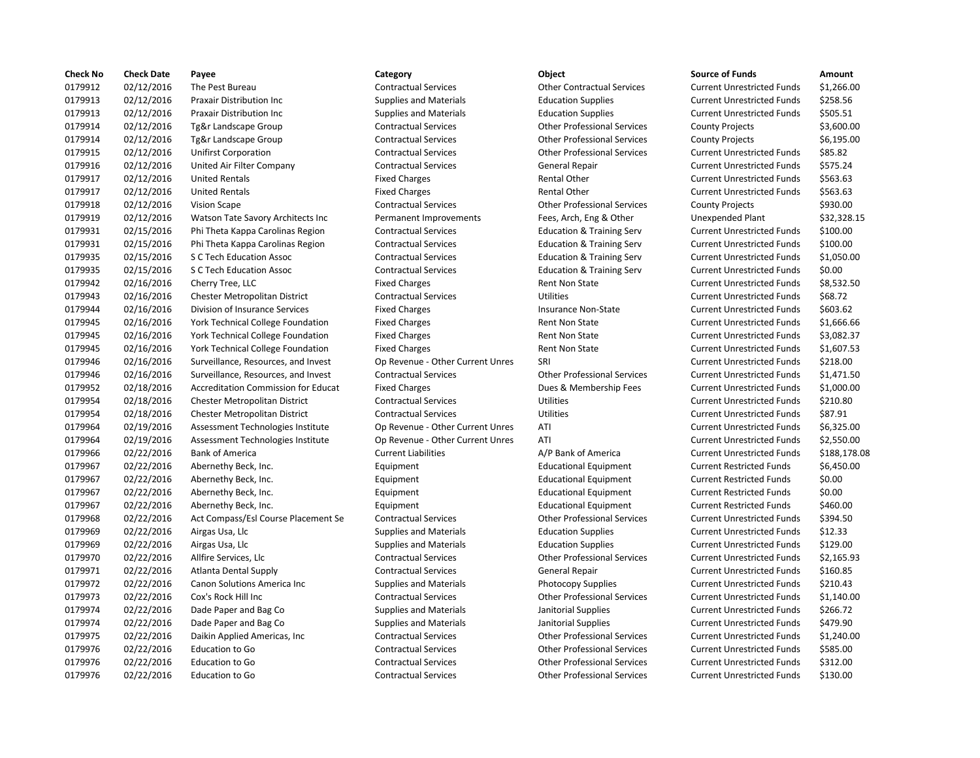| <b>Check No</b> | <b>Check Date</b> | Payee                                    | Category                         | Object                               | <b>Source of Funds</b>            | Amount    |
|-----------------|-------------------|------------------------------------------|----------------------------------|--------------------------------------|-----------------------------------|-----------|
| 0179912         | 02/12/2016        | The Pest Bureau                          | <b>Contractual Services</b>      | <b>Other Contractual Services</b>    | <b>Current Unrestricted Funds</b> | \$1,266.0 |
| 0179913         | 02/12/2016        | <b>Praxair Distribution Inc.</b>         | <b>Supplies and Materials</b>    | <b>Education Supplies</b>            | <b>Current Unrestricted Funds</b> | \$258.56  |
| 0179913         | 02/12/2016        | <b>Praxair Distribution Inc</b>          | <b>Supplies and Materials</b>    | <b>Education Supplies</b>            | <b>Current Unrestricted Funds</b> | \$505.51  |
| 0179914         | 02/12/2016        | Tg&r Landscape Group                     | <b>Contractual Services</b>      | <b>Other Professional Services</b>   | <b>County Projects</b>            | \$3,600.0 |
| 0179914         | 02/12/2016        | Tg&r Landscape Group                     | <b>Contractual Services</b>      | <b>Other Professional Services</b>   | <b>County Projects</b>            | \$6,195.0 |
| 0179915         | 02/12/2016        | <b>Unifirst Corporation</b>              | <b>Contractual Services</b>      | <b>Other Professional Services</b>   | <b>Current Unrestricted Funds</b> | \$85.82   |
| 0179916         | 02/12/2016        | United Air Filter Company                | <b>Contractual Services</b>      | General Repair                       | <b>Current Unrestricted Funds</b> | \$575.24  |
| 0179917         | 02/12/2016        | <b>United Rentals</b>                    | <b>Fixed Charges</b>             | Rental Other                         | <b>Current Unrestricted Funds</b> | \$563.63  |
| 0179917         | 02/12/2016        | <b>United Rentals</b>                    | <b>Fixed Charges</b>             | <b>Rental Other</b>                  | <b>Current Unrestricted Funds</b> | \$563.63  |
| 0179918         | 02/12/2016        | <b>Vision Scape</b>                      | <b>Contractual Services</b>      | <b>Other Professional Services</b>   | <b>County Projects</b>            | \$930.00  |
| 0179919         | 02/12/2016        | Watson Tate Savory Architects Inc        | Permanent Improvements           | Fees, Arch, Eng & Other              | Unexpended Plant                  | \$32,328  |
| 0179931         | 02/15/2016        | Phi Theta Kappa Carolinas Region         | <b>Contractual Services</b>      | <b>Education &amp; Training Serv</b> | <b>Current Unrestricted Funds</b> | \$100.00  |
| 0179931         | 02/15/2016        | Phi Theta Kappa Carolinas Region         | <b>Contractual Services</b>      | <b>Education &amp; Training Serv</b> | <b>Current Unrestricted Funds</b> | \$100.00  |
| 0179935         | 02/15/2016        | S C Tech Education Assoc                 | <b>Contractual Services</b>      | <b>Education &amp; Training Serv</b> | <b>Current Unrestricted Funds</b> | \$1,050.0 |
| 0179935         | 02/15/2016        | S C Tech Education Assoc                 | <b>Contractual Services</b>      | <b>Education &amp; Training Serv</b> | <b>Current Unrestricted Funds</b> | \$0.00    |
| 0179942         | 02/16/2016        | Cherry Tree, LLC                         | <b>Fixed Charges</b>             | Rent Non State                       | <b>Current Unrestricted Funds</b> | \$8,532.5 |
| 0179943         | 02/16/2016        | Chester Metropolitan District            | <b>Contractual Services</b>      | <b>Utilities</b>                     | <b>Current Unrestricted Funds</b> | \$68.72   |
| 0179944         | 02/16/2016        | Division of Insurance Services           | <b>Fixed Charges</b>             | <b>Insurance Non-State</b>           | <b>Current Unrestricted Funds</b> | \$603.62  |
| 0179945         | 02/16/2016        | <b>York Technical College Foundation</b> | <b>Fixed Charges</b>             | <b>Rent Non State</b>                | <b>Current Unrestricted Funds</b> | \$1,666.6 |
| 0179945         | 02/16/2016        | York Technical College Foundation        | <b>Fixed Charges</b>             | Rent Non State                       | <b>Current Unrestricted Funds</b> | \$3,082.3 |
| 0179945         | 02/16/2016        | York Technical College Foundation        | <b>Fixed Charges</b>             | <b>Rent Non State</b>                | <b>Current Unrestricted Funds</b> | \$1,607.5 |
| 0179946         | 02/16/2016        | Surveillance, Resources, and Invest      | Op Revenue - Other Current Unres | SRI                                  | <b>Current Unrestricted Funds</b> | \$218.00  |
| 0179946         | 02/16/2016        | Surveillance, Resources, and Invest      | <b>Contractual Services</b>      | <b>Other Professional Services</b>   | <b>Current Unrestricted Funds</b> | \$1,471.5 |
| 0179952         | 02/18/2016        | Accreditation Commission for Educat      | <b>Fixed Charges</b>             | Dues & Membership Fees               | <b>Current Unrestricted Funds</b> | \$1,000.0 |
| 0179954         | 02/18/2016        | Chester Metropolitan District            | <b>Contractual Services</b>      | Utilities                            | <b>Current Unrestricted Funds</b> | \$210.80  |
| 0179954         | 02/18/2016        | Chester Metropolitan District            | <b>Contractual Services</b>      | <b>Utilities</b>                     | <b>Current Unrestricted Funds</b> | \$87.91   |
| 0179964         | 02/19/2016        | Assessment Technologies Institute        | Op Revenue - Other Current Unres | ATI                                  | <b>Current Unrestricted Funds</b> | \$6,325.0 |
| 0179964         | 02/19/2016        | Assessment Technologies Institute        | Op Revenue - Other Current Unres | ATI                                  | <b>Current Unrestricted Funds</b> | \$2,550.0 |
| 0179966         | 02/22/2016        | <b>Bank of America</b>                   | <b>Current Liabilities</b>       | A/P Bank of America                  | <b>Current Unrestricted Funds</b> | \$188,17  |
| 0179967         | 02/22/2016        | Abernethy Beck, Inc.                     | Equipment                        | <b>Educational Equipment</b>         | <b>Current Restricted Funds</b>   | \$6,450.0 |
| 0179967         | 02/22/2016        | Abernethy Beck, Inc.                     | Equipment                        | <b>Educational Equipment</b>         | <b>Current Restricted Funds</b>   | \$0.00    |
| 0179967         | 02/22/2016        | Abernethy Beck, Inc.                     | Equipment                        | <b>Educational Equipment</b>         | <b>Current Restricted Funds</b>   | \$0.00    |
| 0179967         | 02/22/2016        | Abernethy Beck, Inc.                     | Equipment                        | <b>Educational Equipment</b>         | <b>Current Restricted Funds</b>   | \$460.00  |
| 0179968         | 02/22/2016        | Act Compass/Esl Course Placement Se      | <b>Contractual Services</b>      | <b>Other Professional Services</b>   | <b>Current Unrestricted Funds</b> | \$394.50  |
| 0179969         | 02/22/2016        | Airgas Usa, Llc                          | <b>Supplies and Materials</b>    | <b>Education Supplies</b>            | <b>Current Unrestricted Funds</b> | \$12.33   |
| 0179969         | 02/22/2016        | Airgas Usa, Llc                          | <b>Supplies and Materials</b>    | <b>Education Supplies</b>            | <b>Current Unrestricted Funds</b> | \$129.00  |
| 0179970         | 02/22/2016        | Allfire Services, Llc                    | <b>Contractual Services</b>      | <b>Other Professional Services</b>   | <b>Current Unrestricted Funds</b> | \$2,165.9 |
| 0179971         | 02/22/2016        | <b>Atlanta Dental Supply</b>             | <b>Contractual Services</b>      | General Repair                       | <b>Current Unrestricted Funds</b> | \$160.85  |
| 0179972         | 02/22/2016        | Canon Solutions America Inc              | <b>Supplies and Materials</b>    | <b>Photocopy Supplies</b>            | <b>Current Unrestricted Funds</b> | \$210.43  |
| 0179973         | 02/22/2016        | Cox's Rock Hill Inc                      | <b>Contractual Services</b>      | <b>Other Professional Services</b>   | <b>Current Unrestricted Funds</b> | \$1,140.0 |
| 0179974         | 02/22/2016        | Dade Paper and Bag Co                    | <b>Supplies and Materials</b>    | Janitorial Supplies                  | <b>Current Unrestricted Funds</b> | \$266.72  |
| 0179974         | 02/22/2016        | Dade Paper and Bag Co                    | <b>Supplies and Materials</b>    | Janitorial Supplies                  | <b>Current Unrestricted Funds</b> | \$479.90  |
| 0179975         | 02/22/2016        | Daikin Applied Americas, Inc.            | <b>Contractual Services</b>      | <b>Other Professional Services</b>   | <b>Current Unrestricted Funds</b> | \$1,240.0 |
| 0179976         | 02/22/2016        | <b>Education to Go</b>                   | <b>Contractual Services</b>      | <b>Other Professional Services</b>   | <b>Current Unrestricted Funds</b> | \$585.00  |
| 0179976         | 02/22/2016        | <b>Education to Go</b>                   | <b>Contractual Services</b>      | <b>Other Professional Services</b>   | <b>Current Unrestricted Funds</b> | \$312.00  |
| 0179976         | 02/22/2016        | <b>Education to Go</b>                   | <b>Contractual Services</b>      | <b>Other Professional Services</b>   | <b>Current Unrestricted Funds</b> | \$130.00  |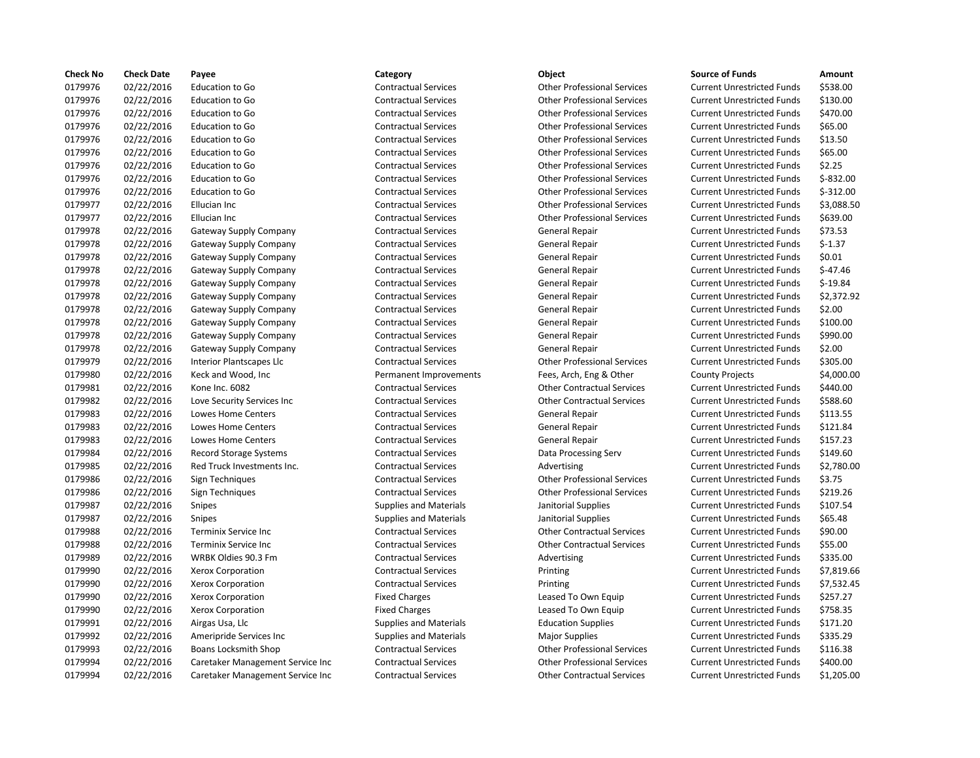| <b>Check No</b> | <b>Check Date</b> | Payee                            | Category                      | <b>Object</b>                      | <b>Source of Funds</b>            | Amount     |
|-----------------|-------------------|----------------------------------|-------------------------------|------------------------------------|-----------------------------------|------------|
| 0179976         | 02/22/2016        | <b>Education to Go</b>           | <b>Contractual Services</b>   | <b>Other Professional Services</b> | <b>Current Unrestricted Funds</b> | \$538.00   |
| 0179976         | 02/22/2016        | Education to Go                  | <b>Contractual Services</b>   | <b>Other Professional Services</b> | <b>Current Unrestricted Funds</b> | \$130.00   |
| 0179976         | 02/22/2016        | <b>Education to Go</b>           | <b>Contractual Services</b>   | <b>Other Professional Services</b> | <b>Current Unrestricted Funds</b> | \$470.00   |
| 0179976         | 02/22/2016        | <b>Education to Go</b>           | <b>Contractual Services</b>   | <b>Other Professional Services</b> | <b>Current Unrestricted Funds</b> | \$65.00    |
| 0179976         | 02/22/2016        | <b>Education to Go</b>           | <b>Contractual Services</b>   | <b>Other Professional Services</b> | <b>Current Unrestricted Funds</b> | \$13.50    |
| 0179976         | 02/22/2016        | <b>Education to Go</b>           | <b>Contractual Services</b>   | <b>Other Professional Services</b> | <b>Current Unrestricted Funds</b> | \$65.00    |
| 0179976         | 02/22/2016        | <b>Education to Go</b>           | <b>Contractual Services</b>   | <b>Other Professional Services</b> | <b>Current Unrestricted Funds</b> | \$2.25     |
| 0179976         | 02/22/2016        | <b>Education to Go</b>           | <b>Contractual Services</b>   | <b>Other Professional Services</b> | <b>Current Unrestricted Funds</b> | $$-832.00$ |
| 0179976         | 02/22/2016        | <b>Education to Go</b>           | <b>Contractual Services</b>   | <b>Other Professional Services</b> | <b>Current Unrestricted Funds</b> | $$-312.00$ |
| 0179977         | 02/22/2016        | Ellucian Inc                     | <b>Contractual Services</b>   | <b>Other Professional Services</b> | <b>Current Unrestricted Funds</b> | \$3,088.5  |
| 0179977         | 02/22/2016        | Ellucian Inc                     | <b>Contractual Services</b>   | <b>Other Professional Services</b> | <b>Current Unrestricted Funds</b> | \$639.00   |
| 0179978         | 02/22/2016        | <b>Gateway Supply Company</b>    | <b>Contractual Services</b>   | General Repair                     | <b>Current Unrestricted Funds</b> | \$73.53    |
| 0179978         | 02/22/2016        | <b>Gateway Supply Company</b>    | <b>Contractual Services</b>   | General Repair                     | <b>Current Unrestricted Funds</b> | $$-1.37$   |
| 0179978         | 02/22/2016        | Gateway Supply Company           | <b>Contractual Services</b>   | General Repair                     | <b>Current Unrestricted Funds</b> | \$0.01     |
| 0179978         | 02/22/2016        | Gateway Supply Company           | <b>Contractual Services</b>   | General Repair                     | <b>Current Unrestricted Funds</b> | $$-47.46$  |
| 0179978         | 02/22/2016        | <b>Gateway Supply Company</b>    | <b>Contractual Services</b>   | General Repair                     | <b>Current Unrestricted Funds</b> | $$-19.84$  |
| 0179978         | 02/22/2016        | <b>Gateway Supply Company</b>    | <b>Contractual Services</b>   | General Repair                     | <b>Current Unrestricted Funds</b> | \$2,372.9  |
| 0179978         | 02/22/2016        | <b>Gateway Supply Company</b>    | <b>Contractual Services</b>   | General Repair                     | <b>Current Unrestricted Funds</b> | \$2.00     |
| 0179978         | 02/22/2016        | Gateway Supply Company           | <b>Contractual Services</b>   | General Repair                     | <b>Current Unrestricted Funds</b> | \$100.00   |
| 0179978         | 02/22/2016        | <b>Gateway Supply Company</b>    | <b>Contractual Services</b>   | General Repair                     | <b>Current Unrestricted Funds</b> | \$990.00   |
| 0179978         | 02/22/2016        | Gateway Supply Company           | <b>Contractual Services</b>   | General Repair                     | <b>Current Unrestricted Funds</b> | \$2.00     |
| 0179979         | 02/22/2016        | Interior Plantscapes Llc         | <b>Contractual Services</b>   | <b>Other Professional Services</b> | <b>Current Unrestricted Funds</b> | \$305.00   |
| 0179980         | 02/22/2016        | Keck and Wood, Inc               | Permanent Improvements        | Fees, Arch, Eng & Other            | <b>County Projects</b>            | \$4,000.0  |
| 0179981         | 02/22/2016        | Kone Inc. 6082                   | <b>Contractual Services</b>   | <b>Other Contractual Services</b>  | <b>Current Unrestricted Funds</b> | \$440.00   |
| 0179982         | 02/22/2016        | Love Security Services Inc       | <b>Contractual Services</b>   | <b>Other Contractual Services</b>  | <b>Current Unrestricted Funds</b> | \$588.60   |
| 0179983         | 02/22/2016        | Lowes Home Centers               | <b>Contractual Services</b>   | General Repair                     | <b>Current Unrestricted Funds</b> | \$113.55   |
| 0179983         | 02/22/2016        | Lowes Home Centers               | <b>Contractual Services</b>   | General Repair                     | <b>Current Unrestricted Funds</b> | \$121.84   |
| 0179983         | 02/22/2016        | Lowes Home Centers               | <b>Contractual Services</b>   | General Repair                     | <b>Current Unrestricted Funds</b> | \$157.23   |
| 0179984         | 02/22/2016        | <b>Record Storage Systems</b>    | <b>Contractual Services</b>   | Data Processing Serv               | <b>Current Unrestricted Funds</b> | \$149.60   |
| 0179985         | 02/22/2016        | Red Truck Investments Inc.       | <b>Contractual Services</b>   | Advertising                        | <b>Current Unrestricted Funds</b> | \$2,780.0  |
| 0179986         | 02/22/2016        | Sign Techniques                  | <b>Contractual Services</b>   | <b>Other Professional Services</b> | <b>Current Unrestricted Funds</b> | \$3.75     |
| 0179986         | 02/22/2016        | Sign Techniques                  | <b>Contractual Services</b>   | <b>Other Professional Services</b> | <b>Current Unrestricted Funds</b> | \$219.26   |
| 0179987         | 02/22/2016        | Snipes                           | <b>Supplies and Materials</b> | Janitorial Supplies                | <b>Current Unrestricted Funds</b> | \$107.54   |
| 0179987         | 02/22/2016        | Snipes                           | Supplies and Materials        | Janitorial Supplies                | <b>Current Unrestricted Funds</b> | \$65.48    |
| 0179988         | 02/22/2016        | Terminix Service Inc             | <b>Contractual Services</b>   | <b>Other Contractual Services</b>  | <b>Current Unrestricted Funds</b> | \$90.00    |
| 0179988         | 02/22/2016        | <b>Terminix Service Inc</b>      | <b>Contractual Services</b>   | <b>Other Contractual Services</b>  | <b>Current Unrestricted Funds</b> | \$55.00    |
| 0179989         | 02/22/2016        | WRBK Oldies 90.3 Fm              | <b>Contractual Services</b>   | Advertising                        | <b>Current Unrestricted Funds</b> | \$335.00   |
| 0179990         | 02/22/2016        | Xerox Corporation                | <b>Contractual Services</b>   | Printing                           | <b>Current Unrestricted Funds</b> | \$7,819.6  |
| 0179990         | 02/22/2016        | Xerox Corporation                | <b>Contractual Services</b>   | Printing                           | <b>Current Unrestricted Funds</b> | \$7,532.4  |
| 0179990         | 02/22/2016        | Xerox Corporation                | <b>Fixed Charges</b>          | Leased To Own Equip                | <b>Current Unrestricted Funds</b> | \$257.27   |
| 0179990         | 02/22/2016        | Xerox Corporation                | <b>Fixed Charges</b>          | Leased To Own Equip                | <b>Current Unrestricted Funds</b> | \$758.35   |
| 0179991         | 02/22/2016        | Airgas Usa, Llc                  | <b>Supplies and Materials</b> | <b>Education Supplies</b>          | <b>Current Unrestricted Funds</b> | \$171.20   |
| 0179992         | 02/22/2016        | Ameripride Services Inc          | <b>Supplies and Materials</b> | <b>Major Supplies</b>              | <b>Current Unrestricted Funds</b> | \$335.29   |
| 0179993         | 02/22/2016        | <b>Boans Locksmith Shop</b>      | <b>Contractual Services</b>   | <b>Other Professional Services</b> | <b>Current Unrestricted Funds</b> | \$116.38   |
| 0179994         | 02/22/2016        | Caretaker Management Service Inc | <b>Contractual Services</b>   | <b>Other Professional Services</b> | <b>Current Unrestricted Funds</b> | \$400.00   |
| 0179994         | 02/22/2016        | Caretaker Management Service Inc | <b>Contractual Services</b>   | <b>Other Contractual Services</b>  | <b>Current Unrestricted Funds</b> | \$1,205.0  |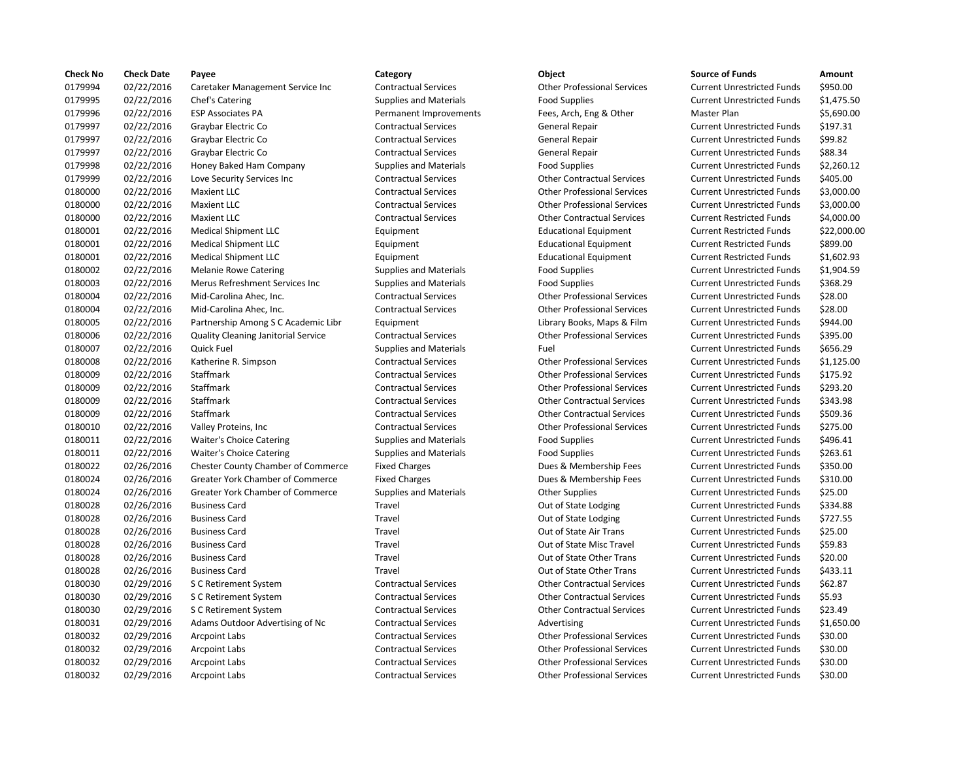| <b>Check No</b> | <b>Check Date</b> | Payee                                     | Category                      | Object                             | <b>Source of Funds</b>            | Amount      |
|-----------------|-------------------|-------------------------------------------|-------------------------------|------------------------------------|-----------------------------------|-------------|
| 0179994         | 02/22/2016        | Caretaker Management Service Inc          | <b>Contractual Services</b>   | <b>Other Professional Services</b> | <b>Current Unrestricted Funds</b> | \$950.00    |
| 0179995         | 02/22/2016        | Chef's Catering                           | <b>Supplies and Materials</b> | <b>Food Supplies</b>               | <b>Current Unrestricted Funds</b> | \$1,475.50  |
| 0179996         | 02/22/2016        | <b>ESP Associates PA</b>                  | Permanent Improvements        | Fees, Arch, Eng & Other            | Master Plan                       | \$5,690.00  |
| 0179997         | 02/22/2016        | Graybar Electric Co                       | <b>Contractual Services</b>   | General Repair                     | <b>Current Unrestricted Funds</b> | \$197.31    |
| 0179997         | 02/22/2016        | Graybar Electric Co                       | <b>Contractual Services</b>   | General Repair                     | <b>Current Unrestricted Funds</b> | \$99.82     |
| 0179997         | 02/22/2016        | Graybar Electric Co                       | <b>Contractual Services</b>   | <b>General Repair</b>              | <b>Current Unrestricted Funds</b> | \$88.34     |
| 0179998         | 02/22/2016        | Honey Baked Ham Company                   | <b>Supplies and Materials</b> | <b>Food Supplies</b>               | <b>Current Unrestricted Funds</b> | \$2,260.12  |
| 0179999         | 02/22/2016        | Love Security Services Inc                | <b>Contractual Services</b>   | <b>Other Contractual Services</b>  | <b>Current Unrestricted Funds</b> | \$405.00    |
| 0180000         | 02/22/2016        | <b>Maxient LLC</b>                        | <b>Contractual Services</b>   | <b>Other Professional Services</b> | <b>Current Unrestricted Funds</b> | \$3,000.00  |
| 0180000         | 02/22/2016        | <b>Maxient LLC</b>                        | <b>Contractual Services</b>   | <b>Other Professional Services</b> | <b>Current Unrestricted Funds</b> | \$3,000.00  |
| 0180000         | 02/22/2016        | <b>Maxient LLC</b>                        | <b>Contractual Services</b>   | <b>Other Contractual Services</b>  | <b>Current Restricted Funds</b>   | \$4,000.00  |
| 0180001         | 02/22/2016        | <b>Medical Shipment LLC</b>               | Equipment                     | <b>Educational Equipment</b>       | <b>Current Restricted Funds</b>   | \$22,000.00 |
| 0180001         | 02/22/2016        | <b>Medical Shipment LLC</b>               | Equipment                     | <b>Educational Equipment</b>       | <b>Current Restricted Funds</b>   | \$899.00    |
| 0180001         | 02/22/2016        | <b>Medical Shipment LLC</b>               | Equipment                     | <b>Educational Equipment</b>       | <b>Current Restricted Funds</b>   | \$1,602.93  |
| 0180002         | 02/22/2016        | <b>Melanie Rowe Catering</b>              | <b>Supplies and Materials</b> | <b>Food Supplies</b>               | <b>Current Unrestricted Funds</b> | \$1,904.59  |
| 0180003         | 02/22/2016        | Merus Refreshment Services Inc            | <b>Supplies and Materials</b> | <b>Food Supplies</b>               | <b>Current Unrestricted Funds</b> | \$368.29    |
| 0180004         | 02/22/2016        | Mid-Carolina Ahec, Inc.                   | <b>Contractual Services</b>   | <b>Other Professional Services</b> | <b>Current Unrestricted Funds</b> | \$28.00     |
| 0180004         | 02/22/2016        | Mid-Carolina Ahec, Inc.                   | <b>Contractual Services</b>   | <b>Other Professional Services</b> | <b>Current Unrestricted Funds</b> | \$28.00     |
| 0180005         | 02/22/2016        | Partnership Among S C Academic Libr       | Equipment                     | Library Books, Maps & Film         | <b>Current Unrestricted Funds</b> | \$944.00    |
| 0180006         | 02/22/2016        | Quality Cleaning Janitorial Service       | <b>Contractual Services</b>   | <b>Other Professional Services</b> | <b>Current Unrestricted Funds</b> | \$395.00    |
| 0180007         | 02/22/2016        | Quick Fuel                                | <b>Supplies and Materials</b> | Fuel                               | <b>Current Unrestricted Funds</b> | \$656.29    |
| 0180008         | 02/22/2016        | Katherine R. Simpson                      | <b>Contractual Services</b>   | <b>Other Professional Services</b> | <b>Current Unrestricted Funds</b> | \$1,125.00  |
| 0180009         | 02/22/2016        | Staffmark                                 | <b>Contractual Services</b>   | <b>Other Professional Services</b> | <b>Current Unrestricted Funds</b> | \$175.92    |
| 0180009         | 02/22/2016        | <b>Staffmark</b>                          | <b>Contractual Services</b>   | <b>Other Professional Services</b> | <b>Current Unrestricted Funds</b> | \$293.20    |
| 0180009         | 02/22/2016        | Staffmark                                 | <b>Contractual Services</b>   | <b>Other Contractual Services</b>  | <b>Current Unrestricted Funds</b> | \$343.98    |
| 0180009         | 02/22/2016        | Staffmark                                 | <b>Contractual Services</b>   | <b>Other Contractual Services</b>  | <b>Current Unrestricted Funds</b> | \$509.36    |
| 0180010         | 02/22/2016        | Valley Proteins, Inc.                     | <b>Contractual Services</b>   | <b>Other Professional Services</b> | <b>Current Unrestricted Funds</b> | \$275.00    |
| 0180011         | 02/22/2016        | <b>Waiter's Choice Catering</b>           | <b>Supplies and Materials</b> | <b>Food Supplies</b>               | <b>Current Unrestricted Funds</b> | \$496.41    |
| 0180011         | 02/22/2016        | <b>Waiter's Choice Catering</b>           | <b>Supplies and Materials</b> | <b>Food Supplies</b>               | <b>Current Unrestricted Funds</b> | \$263.61    |
| 0180022         | 02/26/2016        | <b>Chester County Chamber of Commerce</b> | <b>Fixed Charges</b>          | Dues & Membership Fees             | <b>Current Unrestricted Funds</b> | \$350.00    |
| 0180024         | 02/26/2016        | Greater York Chamber of Commerce          | <b>Fixed Charges</b>          | Dues & Membership Fees             | <b>Current Unrestricted Funds</b> | \$310.00    |
| 0180024         | 02/26/2016        | <b>Greater York Chamber of Commerce</b>   | <b>Supplies and Materials</b> | <b>Other Supplies</b>              | <b>Current Unrestricted Funds</b> | \$25.00     |
| 0180028         | 02/26/2016        | <b>Business Card</b>                      | Travel                        | Out of State Lodging               | <b>Current Unrestricted Funds</b> | \$334.88    |
| 0180028         | 02/26/2016        | <b>Business Card</b>                      | Travel                        | Out of State Lodging               | <b>Current Unrestricted Funds</b> | \$727.55    |
| 0180028         | 02/26/2016        | <b>Business Card</b>                      | Travel                        | Out of State Air Trans             | <b>Current Unrestricted Funds</b> | \$25.00     |
| 0180028         | 02/26/2016        | <b>Business Card</b>                      | Travel                        | Out of State Misc Travel           | <b>Current Unrestricted Funds</b> | \$59.83     |
| 0180028         | 02/26/2016        | <b>Business Card</b>                      | Travel                        | Out of State Other Trans           | <b>Current Unrestricted Funds</b> | \$20.00     |
| 0180028         | 02/26/2016        | <b>Business Card</b>                      | Travel                        | Out of State Other Trans           | <b>Current Unrestricted Funds</b> | \$433.11    |
| 0180030         | 02/29/2016        | S C Retirement System                     | <b>Contractual Services</b>   | <b>Other Contractual Services</b>  | <b>Current Unrestricted Funds</b> | \$62.87     |
| 0180030         | 02/29/2016        | S C Retirement System                     | <b>Contractual Services</b>   | <b>Other Contractual Services</b>  | <b>Current Unrestricted Funds</b> | \$5.93      |
| 0180030         | 02/29/2016        | S C Retirement System                     | <b>Contractual Services</b>   | <b>Other Contractual Services</b>  | <b>Current Unrestricted Funds</b> | \$23.49     |
| 0180031         | 02/29/2016        | Adams Outdoor Advertising of Nc           | <b>Contractual Services</b>   | Advertising                        | <b>Current Unrestricted Funds</b> | \$1,650.00  |
| 0180032         | 02/29/2016        | <b>Arcpoint Labs</b>                      | <b>Contractual Services</b>   | <b>Other Professional Services</b> | <b>Current Unrestricted Funds</b> | \$30.00     |
| 0180032         | 02/29/2016        | <b>Arcpoint Labs</b>                      | <b>Contractual Services</b>   | <b>Other Professional Services</b> | <b>Current Unrestricted Funds</b> | \$30.00     |
| 0180032         | 02/29/2016        | <b>Arcpoint Labs</b>                      | <b>Contractual Services</b>   | <b>Other Professional Services</b> | <b>Current Unrestricted Funds</b> | \$30.00     |
| 0180032         | 02/29/2016        | <b>Arcpoint Labs</b>                      | <b>Contractual Services</b>   | <b>Other Professional Services</b> | <b>Current Unrestricted Funds</b> | \$30.00     |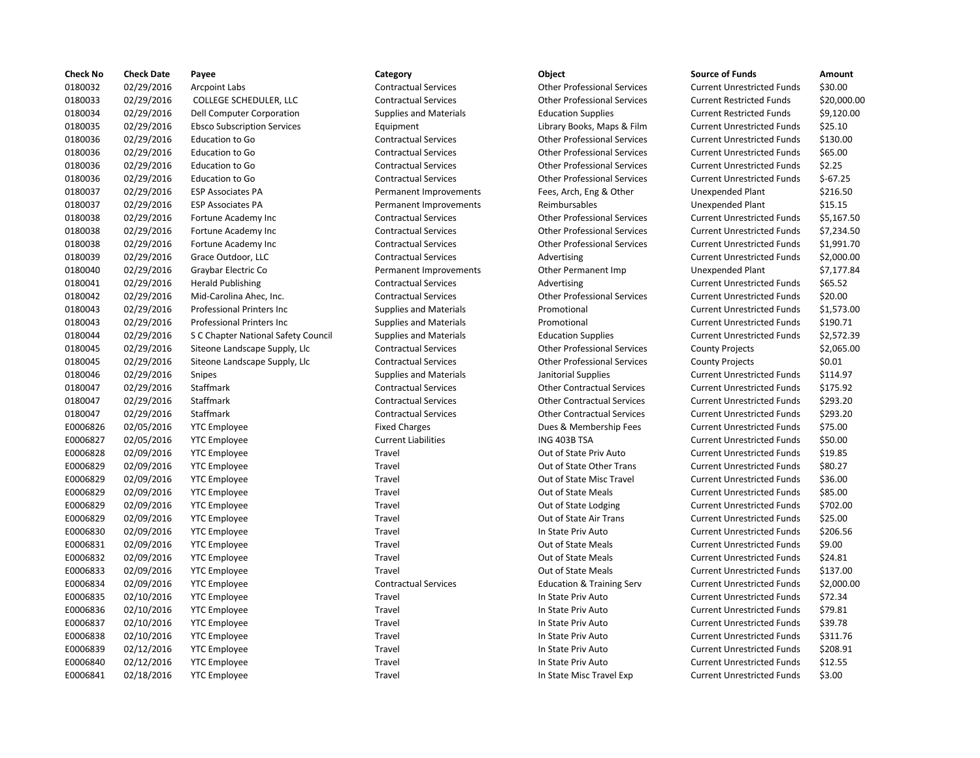| <b>Check No</b> | <b>Check Date</b> | Payee                               | Category                      | <b>Object</b>                        | <b>Source of Funds</b>            | Amount    |
|-----------------|-------------------|-------------------------------------|-------------------------------|--------------------------------------|-----------------------------------|-----------|
| 0180032         | 02/29/2016        | <b>Arcpoint Labs</b>                | <b>Contractual Services</b>   | <b>Other Professional Services</b>   | <b>Current Unrestricted Funds</b> | \$30.00   |
| 0180033         | 02/29/2016        | COLLEGE SCHEDULER, LLC              | <b>Contractual Services</b>   | <b>Other Professional Services</b>   | <b>Current Restricted Funds</b>   | \$20,000  |
| 0180034         | 02/29/2016        | Dell Computer Corporation           | <b>Supplies and Materials</b> | <b>Education Supplies</b>            | <b>Current Restricted Funds</b>   | \$9,120.0 |
| 0180035         | 02/29/2016        | <b>Ebsco Subscription Services</b>  | Equipment                     | Library Books, Maps & Film           | <b>Current Unrestricted Funds</b> | \$25.10   |
| 0180036         | 02/29/2016        | Education to Go                     | <b>Contractual Services</b>   | <b>Other Professional Services</b>   | <b>Current Unrestricted Funds</b> | \$130.00  |
| 0180036         | 02/29/2016        | Education to Go                     | <b>Contractual Services</b>   | <b>Other Professional Services</b>   | <b>Current Unrestricted Funds</b> | \$65.00   |
| 0180036         | 02/29/2016        | Education to Go                     | <b>Contractual Services</b>   | <b>Other Professional Services</b>   | <b>Current Unrestricted Funds</b> | \$2.25    |
| 0180036         | 02/29/2016        | Education to Go                     | <b>Contractual Services</b>   | <b>Other Professional Services</b>   | <b>Current Unrestricted Funds</b> | $$-67.25$ |
| 0180037         | 02/29/2016        | <b>ESP Associates PA</b>            | Permanent Improvements        | Fees, Arch, Eng & Other              | Unexpended Plant                  | \$216.50  |
| 0180037         | 02/29/2016        | <b>ESP Associates PA</b>            | Permanent Improvements        | Reimbursables                        | Unexpended Plant                  | \$15.15   |
| 0180038         | 02/29/2016        | Fortune Academy Inc                 | <b>Contractual Services</b>   | <b>Other Professional Services</b>   | <b>Current Unrestricted Funds</b> | \$5,167.5 |
| 0180038         | 02/29/2016        | Fortune Academy Inc                 | <b>Contractual Services</b>   | <b>Other Professional Services</b>   | <b>Current Unrestricted Funds</b> | \$7,234.5 |
| 0180038         | 02/29/2016        | Fortune Academy Inc                 | <b>Contractual Services</b>   | <b>Other Professional Services</b>   | <b>Current Unrestricted Funds</b> | \$1,991.7 |
| 0180039         | 02/29/2016        | Grace Outdoor, LLC                  | <b>Contractual Services</b>   | Advertising                          | <b>Current Unrestricted Funds</b> | \$2,000.0 |
| 0180040         | 02/29/2016        | Graybar Electric Co                 | Permanent Improvements        | Other Permanent Imp                  | <b>Unexpended Plant</b>           | \$7,177.8 |
| 0180041         | 02/29/2016        | <b>Herald Publishing</b>            | <b>Contractual Services</b>   | Advertising                          | <b>Current Unrestricted Funds</b> | \$65.52   |
| 0180042         | 02/29/2016        | Mid-Carolina Ahec, Inc.             | <b>Contractual Services</b>   | <b>Other Professional Services</b>   | <b>Current Unrestricted Funds</b> | \$20.00   |
| 0180043         | 02/29/2016        | Professional Printers Inc           | <b>Supplies and Materials</b> | Promotional                          | <b>Current Unrestricted Funds</b> | \$1,573.0 |
| 0180043         | 02/29/2016        | <b>Professional Printers Inc</b>    | <b>Supplies and Materials</b> | Promotional                          | <b>Current Unrestricted Funds</b> | \$190.71  |
| 0180044         | 02/29/2016        | S C Chapter National Safety Council | <b>Supplies and Materials</b> | <b>Education Supplies</b>            | <b>Current Unrestricted Funds</b> | \$2,572.3 |
| 0180045         | 02/29/2016        | Siteone Landscape Supply, Llc       | <b>Contractual Services</b>   | <b>Other Professional Services</b>   | <b>County Projects</b>            | \$2,065.0 |
| 0180045         | 02/29/2016        | Siteone Landscape Supply, Llc       | <b>Contractual Services</b>   | <b>Other Professional Services</b>   | <b>County Projects</b>            | \$0.01    |
| 0180046         | 02/29/2016        | Snipes                              | <b>Supplies and Materials</b> | Janitorial Supplies                  | <b>Current Unrestricted Funds</b> | \$114.97  |
| 0180047         | 02/29/2016        | Staffmark                           | <b>Contractual Services</b>   | <b>Other Contractual Services</b>    | <b>Current Unrestricted Funds</b> | \$175.92  |
| 0180047         | 02/29/2016        | Staffmark                           | <b>Contractual Services</b>   | <b>Other Contractual Services</b>    | <b>Current Unrestricted Funds</b> | \$293.20  |
| 0180047         | 02/29/2016        | Staffmark                           | <b>Contractual Services</b>   | <b>Other Contractual Services</b>    | <b>Current Unrestricted Funds</b> | \$293.20  |
| E0006826        | 02/05/2016        | <b>YTC</b> Employee                 | <b>Fixed Charges</b>          | Dues & Membership Fees               | <b>Current Unrestricted Funds</b> | \$75.00   |
| E0006827        | 02/05/2016        | <b>YTC Employee</b>                 | <b>Current Liabilities</b>    | ING 403B TSA                         | <b>Current Unrestricted Funds</b> | \$50.00   |
| E0006828        | 02/09/2016        | <b>YTC Employee</b>                 | Travel                        | Out of State Priv Auto               | <b>Current Unrestricted Funds</b> | \$19.85   |
| E0006829        | 02/09/2016        | <b>YTC Employee</b>                 | Travel                        | Out of State Other Trans             | <b>Current Unrestricted Funds</b> | \$80.27   |
| E0006829        | 02/09/2016        | <b>YTC Employee</b>                 | Travel                        | Out of State Misc Travel             | <b>Current Unrestricted Funds</b> | \$36.00   |
| E0006829        | 02/09/2016        | <b>YTC Employee</b>                 | Travel                        | Out of State Meals                   | <b>Current Unrestricted Funds</b> | \$85.00   |
| E0006829        | 02/09/2016        | <b>YTC Employee</b>                 | Travel                        | Out of State Lodging                 | <b>Current Unrestricted Funds</b> | \$702.00  |
| E0006829        | 02/09/2016        | <b>YTC</b> Employee                 | Travel                        | Out of State Air Trans               | <b>Current Unrestricted Funds</b> | \$25.00   |
| E0006830        | 02/09/2016        | <b>YTC Employee</b>                 | Travel                        | In State Priv Auto                   | <b>Current Unrestricted Funds</b> | \$206.56  |
| E0006831        | 02/09/2016        | <b>YTC</b> Employee                 | Travel                        | Out of State Meals                   | <b>Current Unrestricted Funds</b> | \$9.00    |
| E0006832        | 02/09/2016        | <b>YTC Employee</b>                 | Travel                        | Out of State Meals                   | <b>Current Unrestricted Funds</b> | \$24.81   |
| E0006833        | 02/09/2016        | <b>YTC</b> Employee                 | Travel                        | Out of State Meals                   | <b>Current Unrestricted Funds</b> | \$137.00  |
| E0006834        | 02/09/2016        | <b>YTC Employee</b>                 | <b>Contractual Services</b>   | <b>Education &amp; Training Serv</b> | <b>Current Unrestricted Funds</b> | \$2,000.0 |
| E0006835        | 02/10/2016        | <b>YTC Employee</b>                 | Travel                        | In State Priv Auto                   | <b>Current Unrestricted Funds</b> | \$72.34   |
| E0006836        | 02/10/2016        | <b>YTC Employee</b>                 | Travel                        | In State Priv Auto                   | <b>Current Unrestricted Funds</b> | \$79.81   |
| E0006837        | 02/10/2016        | <b>YTC Employee</b>                 | Travel                        | In State Priv Auto                   | <b>Current Unrestricted Funds</b> | \$39.78   |
| E0006838        | 02/10/2016        | <b>YTC Employee</b>                 | Travel                        | In State Priv Auto                   | <b>Current Unrestricted Funds</b> | \$311.76  |
| E0006839        | 02/12/2016        | <b>YTC Employee</b>                 | Travel                        | In State Priv Auto                   | <b>Current Unrestricted Funds</b> | \$208.91  |
| E0006840        | 02/12/2016        | <b>YTC Employee</b>                 | Travel                        | In State Priv Auto                   | <b>Current Unrestricted Funds</b> | \$12.55   |
| F0006841        | 02/18/2016        | YTC Employee                        | Travel                        | In State Misc Travel Exp             | <b>Current Unrestricted Funds</b> | \$3.00    |